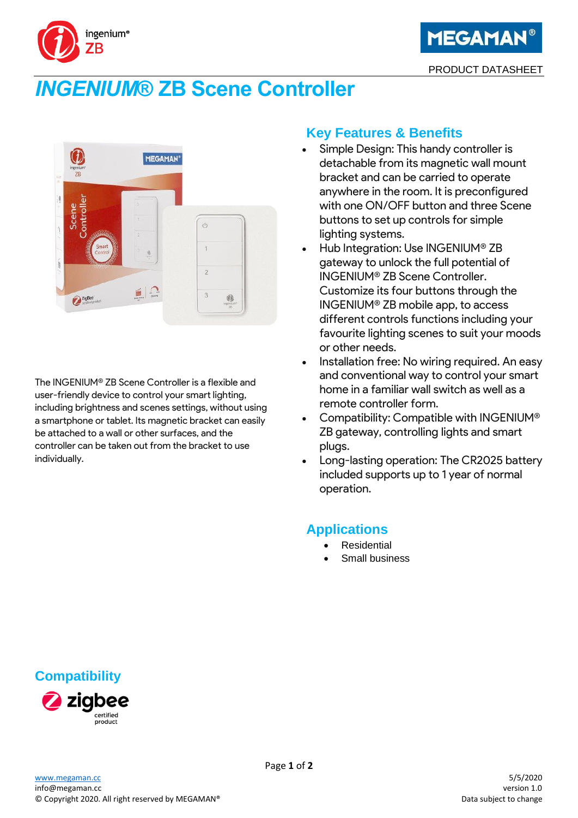

# *INGENIUM***® ZB Scene Controller**

ingenium®

7B



The INGENIUM® ZB Scene Controller is a flexible and user-friendly device to control your smart lighting, including brightness and scenes settings, without using a smartphone or tablet. Its magnetic bracket can easily be attached to a wall or other surfaces, and the controller can be taken out from the bracket to use individually.

# **Key Features & Benefits**

- Simple Design: This handy controller is detachable from its magnetic wall mount bracket and can be carried to operate anywhere in the room. It is preconfigured with one ON/OFF button and three Scene buttons to set up controls for simple lighting systems.
- Hub Integration: Use INGENIUM® ZB gateway to unlock the full potential of INGENIUM® ZB Scene Controller. Customize its four buttons through the INGENIUM® ZB mobile app, to access different controls functions including your favourite lighting scenes to suit your moods or other needs.
- Installation free: No wiring required. An easy and conventional way to control your smart home in a familiar wall switch as well as a remote controller form.
- Compatibility: Compatible with INGENIUM® ZB gateway, controlling lights and smart plugs.
- Long-lasting operation: The CR2025 battery included supports up to 1 year of normal operation.

# **Applications**

- **Residential**
- Small business

# **Compatibility**